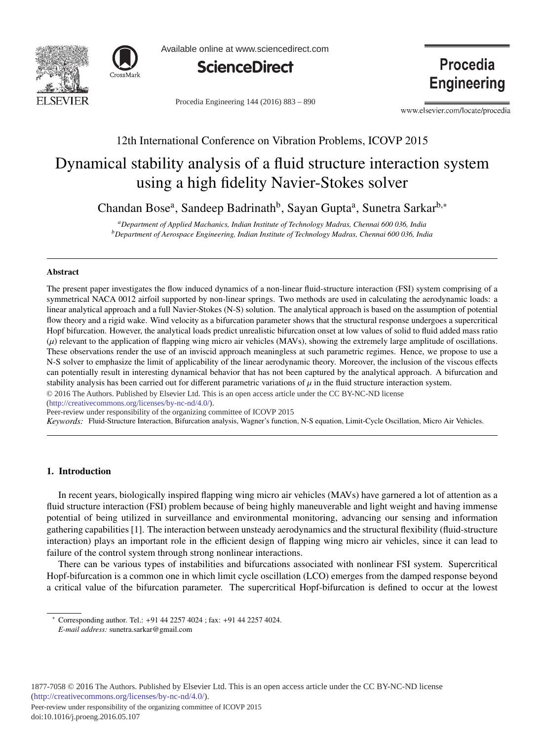



Available online at www.sciencedirect.com



Procedia Engineering 144 (2016) 883 - 890

www.elsevier.com/locate/procedia

**Procedia** 

**Engineering** 

# 12th International Conference on Vibration Problems, ICOVP 2015

# Dynamical stability analysis of a fluid structure interaction system using a high fidelity Navier-Stokes solver

Chandan Bose<sup>a</sup>, Sandeep Badrinath<sup>b</sup>, Sayan Gupta<sup>a</sup>, Sunetra Sarkar<sup>b,</sup>\*

*aDepartment of Applied Machanics, Indian Institute of Technology Madras, Chennai 600 036, India bDepartment of Aerospace Engineering, Indian Institute of Technology Madras, Chennai 600 036, India*

## Abstract

The present paper investigates the flow induced dynamics of a non-linear fluid-structure interaction (FSI) system comprising of a symmetrical NACA 0012 airfoil supported by non-linear springs. Two methods are used in calculating the aerodynamic loads: a linear analytical approach and a full Navier-Stokes (N-S) solution. The analytical approach is based on the assumption of potential flow theory and a rigid wake. Wind velocity as a bifurcation parameter shows that the structural response undergoes a supercritical Hopf bifurcation. However, the analytical loads predict unrealistic bifurcation onset at low values of solid to fluid added mass ratio (μ) relevant to the application of flapping wing micro air vehicles (MAVs), showing the extremely large amplitude of oscillations. These observations render the use of an inviscid approach meaningless at such parametric regimes. Hence, we propose to use a N-S solver to emphasize the limit of applicability of the linear aerodynamic theory. Moreover, the inclusion of the viscous effects can potentially result in interesting dynamical behavior that has not been captured by the analytical approach. A bifurcation and stability analysis has been carried out for different parametric variations of  $\mu$  in the fluid structure interaction system. c 2016 The Authors. Published by Elsevier Ltd. © 2016 The Authors. Published by Elsevier Ltd. This is an open access article under the CC BY-NC-ND license

(http://creativecommons.org/licenses/by-nc-nd/4.0/).

Peer-review under responsibility of the organizing committee of ICOVP 2015

*Keywords:* Fluid-Structure Interaction, Bifurcation analysis, Wagner's function, N-S equation, Limit-Cycle Oscillation, Micro Air Vehicles.

# 1. Introduction

In recent years, biologically inspired flapping wing micro air vehicles (MAVs) have garnered a lot of attention as a fluid structure interaction (FSI) problem because of being highly maneuverable and light weight and having immense potential of being utilized in surveillance and environmental monitoring, advancing our sensing and information gathering capabilities [1]. The interaction between unsteady aerodynamics and the structural flexibility (fluid-structure interaction) plays an important role in the efficient design of flapping wing micro air vehicles, since it can lead to failure of the control system through strong nonlinear interactions.

There can be various types of instabilities and bifurcations associated with nonlinear FSI system. Supercritical Hopf-bifurcation is a common one in which limit cycle oscillation (LCO) emerges from the damped response beyond a critical value of the bifurcation parameter. The supercritical Hopf-bifurcation is defined to occur at the lowest

<sup>∗</sup> Corresponding author. Tel.: +91 44 2257 4024 ; fax: +91 44 2257 4024.

*E-mail address:* sunetra.sarkar@gmail.com

Peer-review under responsibility of the organizing committee of ICOVP 2015

doi: 10.1016/j.proeng.2016.05.107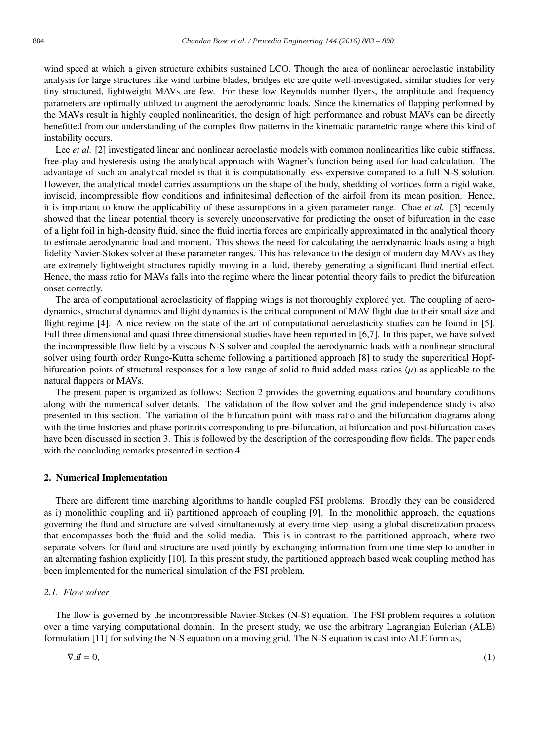wind speed at which a given structure exhibits sustained LCO. Though the area of nonlinear aeroelastic instability analysis for large structures like wind turbine blades, bridges etc are quite well-investigated, similar studies for very tiny structured, lightweight MAVs are few. For these low Reynolds number flyers, the amplitude and frequency parameters are optimally utilized to augment the aerodynamic loads. Since the kinematics of flapping performed by the MAVs result in highly coupled nonlinearities, the design of high performance and robust MAVs can be directly benefitted from our understanding of the complex flow patterns in the kinematic parametric range where this kind of instability occurs.

Lee *et al.* [2] investigated linear and nonlinear aeroelastic models with common nonlinearities like cubic stiffness, free-play and hysteresis using the analytical approach with Wagner's function being used for load calculation. The advantage of such an analytical model is that it is computationally less expensive compared to a full N-S solution. However, the analytical model carries assumptions on the shape of the body, shedding of vortices form a rigid wake, inviscid, incompressible flow conditions and infinitesimal deflection of the airfoil from its mean position. Hence, it is important to know the applicability of these assumptions in a given parameter range. Chae *et al.* [3] recently showed that the linear potential theory is severely unconservative for predicting the onset of bifurcation in the case of a light foil in high-density fluid, since the fluid inertia forces are empirically approximated in the analytical theory to estimate aerodynamic load and moment. This shows the need for calculating the aerodynamic loads using a high fidelity Navier-Stokes solver at these parameter ranges. This has relevance to the design of modern day MAVs as they are extremely lightweight structures rapidly moving in a fluid, thereby generating a significant fluid inertial effect. Hence, the mass ratio for MAVs falls into the regime where the linear potential theory fails to predict the bifurcation onset correctly.

The area of computational aeroelasticity of flapping wings is not thoroughly explored yet. The coupling of aerodynamics, structural dynamics and flight dynamics is the critical component of MAV flight due to their small size and flight regime [4]. A nice review on the state of the art of computational aeroelasticity studies can be found in [5]. Full three dimensional and quasi three dimensional studies have been reported in [6,7]. In this paper, we have solved the incompressible flow field by a viscous N-S solver and coupled the aerodynamic loads with a nonlinear structural solver using fourth order Runge-Kutta scheme following a partitioned approach [8] to study the supercritical Hopfbifurcation points of structural responses for a low range of solid to fluid added mass ratios  $(\mu)$  as applicable to the natural flappers or MAVs.

The present paper is organized as follows: Section 2 provides the governing equations and boundary conditions along with the numerical solver details. The validation of the flow solver and the grid independence study is also presented in this section. The variation of the bifurcation point with mass ratio and the bifurcation diagrams along with the time histories and phase portraits corresponding to pre-bifurcation, at bifurcation and post-bifurcation cases have been discussed in section 3. This is followed by the description of the corresponding flow fields. The paper ends with the concluding remarks presented in section 4.

#### 2. Numerical Implementation

There are different time marching algorithms to handle coupled FSI problems. Broadly they can be considered as i) monolithic coupling and ii) partitioned approach of coupling [9]. In the monolithic approach, the equations governing the fluid and structure are solved simultaneously at every time step, using a global discretization process that encompasses both the fluid and the solid media. This is in contrast to the partitioned approach, where two separate solvers for fluid and structure are used jointly by exchanging information from one time step to another in an alternating fashion explicitly [10]. In this present study, the partitioned approach based weak coupling method has been implemented for the numerical simulation of the FSI problem.

#### *2.1. Flow solver*

The flow is governed by the incompressible Navier-Stokes (N-S) equation. The FSI problem requires a solution over a time varying computational domain. In the present study, we use the arbitrary Lagrangian Eulerian (ALE) formulation [11] for solving the N-S equation on a moving grid. The N-S equation is cast into ALE form as,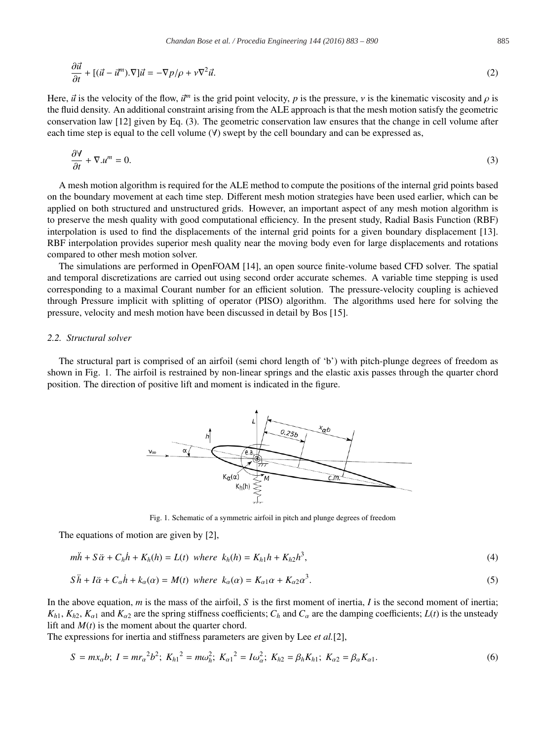$$
\frac{\partial \vec{u}}{\partial t} + [(\vec{u} - \vec{u}^m) \cdot \nabla] \vec{u} = -\nabla p/\rho + \nu \nabla^2 \vec{u}.
$$
\n(2)

Here,  $\vec{u}$  is the velocity of the flow,  $\vec{u}^m$  is the grid point velocity, p is the pressure, v is the kinematic viscosity and  $\rho$  is the fluid density. An additional constraint arising from the ALE approach is that the mesh motion satisfy the geometric conservation law [12] given by Eq. (3). The geometric conservation law ensures that the change in cell volume after each time step is equal to the cell volume  $(\forall)$  swept by the cell boundary and can be expressed as,

$$
\frac{\partial \mathsf{Y}}{\partial t} + \nabla \mathsf{.} u^m = 0. \tag{3}
$$

A mesh motion algorithm is required for the ALE method to compute the positions of the internal grid points based on the boundary movement at each time step. Different mesh motion strategies have been used earlier, which can be applied on both structured and unstructured grids. However, an important aspect of any mesh motion algorithm is to preserve the mesh quality with good computational efficiency. In the present study, Radial Basis Function (RBF) interpolation is used to find the displacements of the internal grid points for a given boundary displacement [13]. RBF interpolation provides superior mesh quality near the moving body even for large displacements and rotations compared to other mesh motion solver.

The simulations are performed in OpenFOAM [14], an open source finite-volume based CFD solver. The spatial and temporal discretizations are carried out using second order accurate schemes. A variable time stepping is used corresponding to a maximal Courant number for an efficient solution. The pressure-velocity coupling is achieved through Pressure implicit with splitting of operator (PISO) algorithm. The algorithms used here for solving the pressure, velocity and mesh motion have been discussed in detail by Bos [15].

#### *2.2. Structural solver*

The structural part is comprised of an airfoil (semi chord length of 'b') with pitch-plunge degrees of freedom as shown in Fig. 1. The airfoil is restrained by non-linear springs and the elastic axis passes through the quarter chord position. The direction of positive lift and moment is indicated in the figure.



Fig. 1. Schematic of a symmetric airfoil in pitch and plunge degrees of freedom

The equations of motion are given by [2],

$$
m\ddot{h} + S\ddot{\alpha} + C_h\dot{h} + K_h(h) = L(t) \text{ where } k_h(h) = K_{h1}h + K_{h2}h^3,
$$
\n(4)

$$
S\ddot{h} + I\ddot{\alpha} + C_{\alpha}\dot{h} + k_{\alpha}(\alpha) = M(t) \text{ where } k_{\alpha}(\alpha) = K_{\alpha 1}\alpha + K_{\alpha 2}\alpha^{3}.
$$
 (5)

In the above equation, *m* is the mass of the airfoil, *S* is the first moment of inertia, *I* is the second moment of inertia;  $K_{h1}$ ,  $K_{h2}$ ,  $K_{\alpha1}$  and  $K_{\alpha2}$  are the spring stiffness coefficients;  $C_h$  and  $C_\alpha$  are the damping coefficients;  $L(t)$  is the unsteady lift and *M*(*t*) is the moment about the quarter chord.

The expressions for inertia and stiffness parameters are given by Lee *et al.*[2],

$$
S = mx_{\alpha}b; I = mr_{\alpha}^{2}b^{2}; K_{h1}^{2} = m\omega_{h}^{2}; K_{\alpha 1}^{2} = I\omega_{\alpha}^{2}; K_{h2} = \beta_{h}K_{h1}; K_{\alpha 2} = \beta_{\alpha}K_{\alpha 1}.
$$
 (6)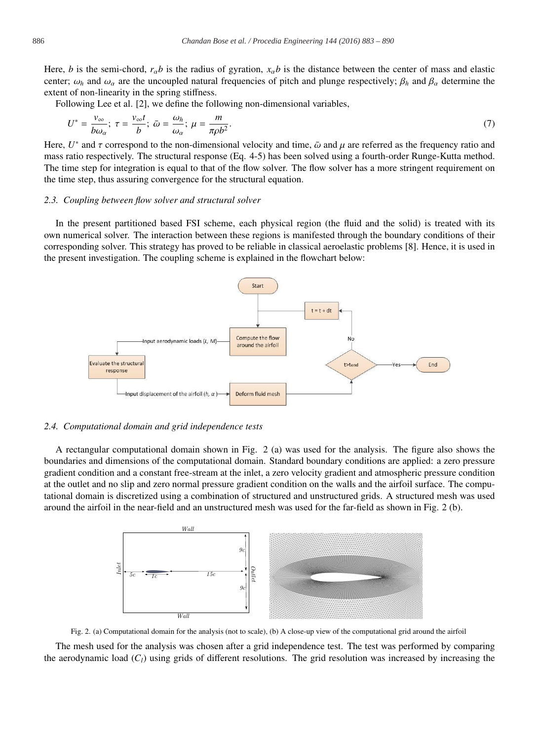Here, *b* is the semi-chord,  $r_a b$  is the radius of gyration,  $x_a b$  is the distance between the center of mass and elastic center;  $\omega_h$  and  $\omega_\alpha$  are the uncoupled natural frequencies of pitch and plunge respectively;  $\beta_h$  and  $\beta_\alpha$  determine the extent of non-linearity in the spring stiffness.

Following Lee et al. [2], we define the following non-dimensional variables,

$$
U^* = \frac{\nu_{\infty}}{b\omega_{\alpha}}; \ \tau = \frac{\nu_{\infty}t}{b}; \ \bar{\omega} = \frac{\omega_h}{\omega_{\alpha}}; \ \mu = \frac{m}{\pi\rho b^2}.
$$

Here,  $U^*$  and  $\tau$  correspond to the non-dimensional velocity and time,  $\bar{\omega}$  and  $\mu$  are referred as the frequency ratio and mass ratio respectively. The structural response (Eq. 4-5) has been solved using a fourth-order Runge-Kutta method. The time step for integration is equal to that of the flow solver. The flow solver has a more stringent requirement on the time step, thus assuring convergence for the structural equation.

# *2.3. Coupling between flow solver and structural solver*

In the present partitioned based FSI scheme, each physical region (the fluid and the solid) is treated with its own numerical solver. The interaction between these regions is manifested through the boundary conditions of their corresponding solver. This strategy has proved to be reliable in classical aeroelastic problems [8]. Hence, it is used in the present investigation. The coupling scheme is explained in the flowchart below:



#### *2.4. Computational domain and grid independence tests*

A rectangular computational domain shown in Fig. 2 (a) was used for the analysis. The figure also shows the boundaries and dimensions of the computational domain. Standard boundary conditions are applied: a zero pressure gradient condition and a constant free-stream at the inlet, a zero velocity gradient and atmospheric pressure condition at the outlet and no slip and zero normal pressure gradient condition on the walls and the airfoil surface. The computational domain is discretized using a combination of structured and unstructured grids. A structured mesh was used around the airfoil in the near-field and an unstructured mesh was used for the far-field as shown in Fig. 2 (b).



Fig. 2. (a) Computational domain for the analysis (not to scale), (b) A close-up view of the computational grid around the airfoil

The mesh used for the analysis was chosen after a grid independence test. The test was performed by comparing the aerodynamic load  $(C_l)$  using grids of different resolutions. The grid resolution was increased by increasing the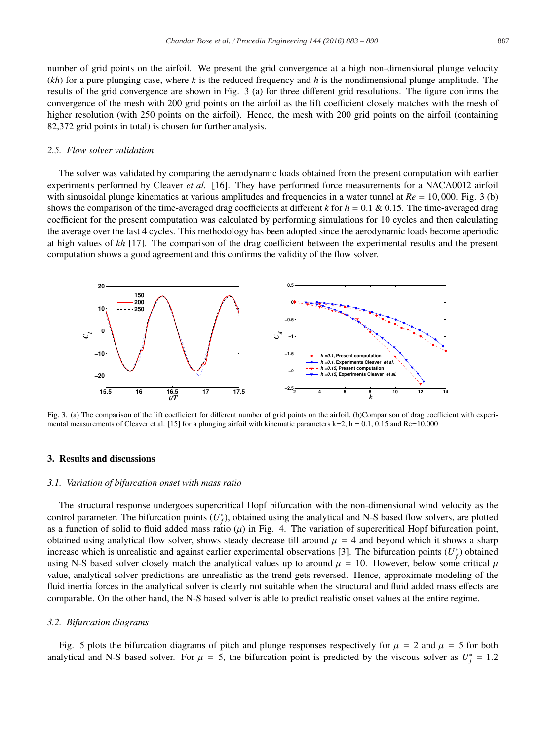number of grid points on the airfoil. We present the grid convergence at a high non-dimensional plunge velocity (*kh*) for a pure plunging case, where *k* is the reduced frequency and *h* is the nondimensional plunge amplitude. The results of the grid convergence are shown in Fig. 3 (a) for three different grid resolutions. The figure confirms the convergence of the mesh with 200 grid points on the airfoil as the lift coefficient closely matches with the mesh of higher resolution (with 250 points on the airfoil). Hence, the mesh with 200 grid points on the airfoil (containing 82,372 grid points in total) is chosen for further analysis.

#### *2.5. Flow solver validation*

The solver was validated by comparing the aerodynamic loads obtained from the present computation with earlier experiments performed by Cleaver *et al.* [16]. They have performed force measurements for a NACA0012 airfoil with sinusoidal plunge kinematics at various amplitudes and frequencies in a water tunnel at  $Re = 10,000$ . Fig. 3 (b) shows the comparison of the time-averaged drag coefficients at different *k* for  $h = 0.1 \& 0.15$ . The time-averaged drag coefficient for the present computation was calculated by performing simulations for 10 cycles and then calculating the average over the last 4 cycles. This methodology has been adopted since the aerodynamic loads become aperiodic at high values of *kh* [17]. The comparison of the drag coefficient between the experimental results and the present computation shows a good agreement and this confirms the validity of the flow solver.



Fig. 3. (a) The comparison of the lift coefficient for different number of grid points on the airfoil, (b)Comparison of drag coefficient with experimental measurements of Cleaver et al. [15] for a plunging airfoil with kinematic parameters  $k=2$ ,  $h = 0.1$ , 0.15 and  $Re=10,000$ 

#### 3. Results and discussions

#### *3.1. Variation of bifurcation onset with mass ratio*

The structural response undergoes supercritical Hopf bifurcation with the non-dimensional wind velocity as the control parameter. The bifurcation points  $(U_f^*)$ , obtained using the analytical and N-S based flow solvers, are plotted as a function of solid to fluid added mass ratio  $(\mu)$  in Fig. 4. The variation of supercritical Hopf bifurcation point, obtained using analytical flow solver, shows steady decrease till around  $\mu = 4$  and beyond which it shows a sharp increase which is unrealistic and against earlier experimental observations [3]. The bifurcation points  $(U_f^*)$  obtained using N-S based solver closely match the analytical values up to around  $\mu = 10$ . However, below some critical  $\mu$ value, analytical solver predictions are unrealistic as the trend gets reversed. Hence, approximate modeling of the fluid inertia forces in the analytical solver is clearly not suitable when the structural and fluid added mass effects are comparable. On the other hand, the N-S based solver is able to predict realistic onset values at the entire regime.

#### *3.2. Bifurcation diagrams*

Fig. 5 plots the bifurcation diagrams of pitch and plunge responses respectively for  $\mu = 2$  and  $\mu = 5$  for both analytical and N-S based solver. For  $\mu = 5$ , the bifurcation point is predicted by the viscous solver as  $U_f^* = 1.2$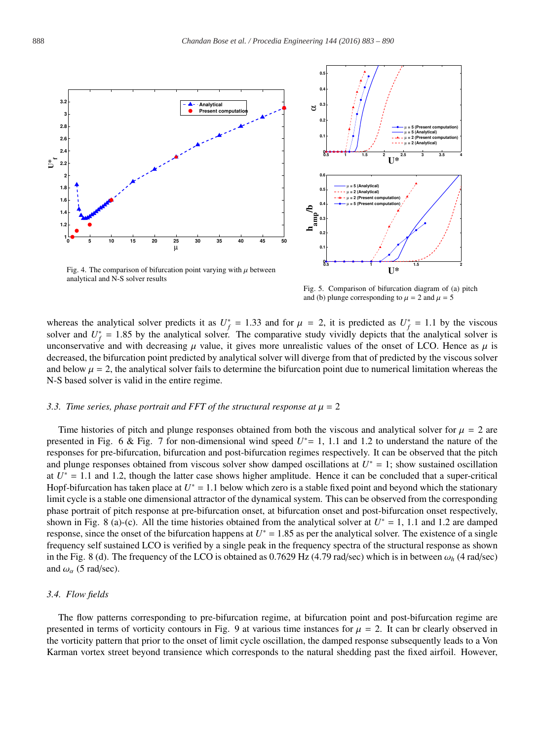



Fig. 4. The comparison of bifurcation point varying with  $\mu$  between analytical and N-S solver results

Fig. 5. Comparison of bifurcation diagram of (a) pitch and (b) plunge corresponding to  $\mu = 2$  and  $\mu = 5$ 

whereas the analytical solver predicts it as  $U_f^* = 1.33$  and for  $\mu = 2$ , it is predicted as  $U_f^* = 1.1$  by the viscous solver and  $U_f^* = 1.85$  by the analytical solver. The comparative study vividly depicts that the analytical solver is unconservative and with decreasing  $\mu$  value, it gives more unrealistic values of the onset of LCO. Hence as  $\mu$  is decreased, the bifurcation point predicted by analytical solver will diverge from that of predicted by the viscous solver and below  $\mu = 2$ , the analytical solver fails to determine the bifurcation point due to numerical limitation whereas the N-S based solver is valid in the entire regime.

## *3.3. Time series, phase portrait and FFT of the structural response at*  $\mu = 2$

Time histories of pitch and plunge responses obtained from both the viscous and analytical solver for  $\mu = 2$  are presented in Fig. 6 & Fig. 7 for non-dimensional wind speed  $U^* = 1$ , 1.1 and 1.2 to understand the nature of the responses for pre-bifurcation, bifurcation and post-bifurcation regimes respectively. It can be observed that the pitch and plunge responses obtained from viscous solver show damped oscillations at *U*<sup>∗</sup> = 1; show sustained oscillation at  $U^* = 1.1$  and 1.2, though the latter case shows higher amplitude. Hence it can be concluded that a super-critical Hopf-bifurcation has taken place at  $U^* = 1.1$  below which zero is a stable fixed point and beyond which the stationary limit cycle is a stable one dimensional attractor of the dynamical system. This can be observed from the corresponding phase portrait of pitch response at pre-bifurcation onset, at bifurcation onset and post-bifurcation onset respectively, shown in Fig. 8 (a)-(c). All the time histories obtained from the analytical solver at  $U^* = 1$ , 1.1 and 1.2 are damped response, since the onset of the bifurcation happens at  $U^* = 1.85$  as per the analytical solver. The existence of a single frequency self sustained LCO is verified by a single peak in the frequency spectra of the structural response as shown in the Fig. 8 (d). The frequency of the LCO is obtained as  $0.7629$  Hz (4.79 rad/sec) which is in between  $\omega_h$  (4 rad/sec) and  $\omega_{\alpha}$  (5 rad/sec).

#### *3.4. Flow fields*

The flow patterns corresponding to pre-bifurcation regime, at bifurcation point and post-bifurcation regime are presented in terms of vorticity contours in Fig. 9 at various time instances for  $\mu = 2$ . It can br clearly observed in the vorticity pattern that prior to the onset of limit cycle oscillation, the damped response subsequently leads to a Von Karman vortex street beyond transience which corresponds to the natural shedding past the fixed airfoil. However,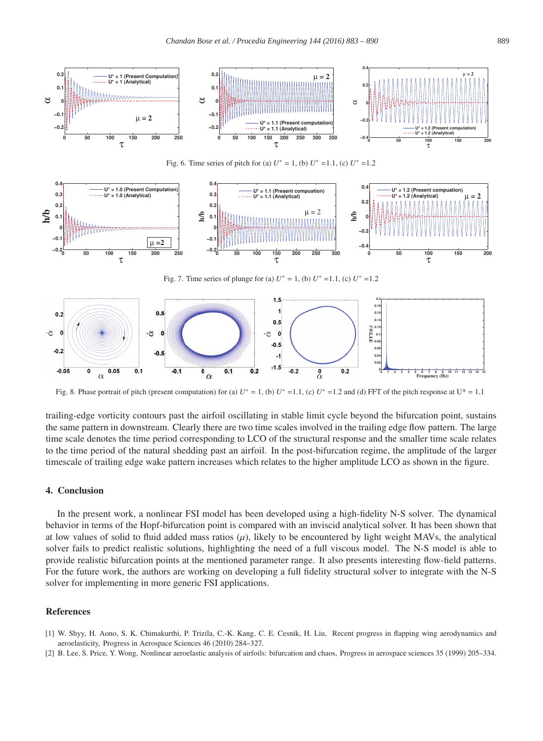



Fig. 8. Phase portrait of pitch (present computation) for (a)  $U^* = 1$ , (b)  $U^* = 1$ , (c)  $U^* = 1.2$  and (d) FFT of the pitch response at  $U^* = 1.1$ 

trailing-edge vorticity contours past the airfoil oscillating in stable limit cycle beyond the bifurcation point, sustains the same pattern in downstream. Clearly there are two time scales involved in the trailing edge flow pattern. The large time scale denotes the time period corresponding to LCO of the structural response and the smaller time scale relates to the time period of the natural shedding past an airfoil. In the post-bifurcation regime, the amplitude of the larger timescale of trailing edge wake pattern increases which relates to the higher amplitude LCO as shown in the figure.

# 4. Conclusion

In the present work, a nonlinear FSI model has been developed using a high-fidelity N-S solver. The dynamical behavior in terms of the Hopf-bifurcation point is compared with an inviscid analytical solver. It has been shown that at low values of solid to fluid added mass ratios  $(\mu)$ , likely to be encountered by light weight MAVs, the analytical solver fails to predict realistic solutions, highlighting the need of a full viscous model. The N-S model is able to provide realistic bifurcation points at the mentioned parameter range. It also presents interesting flow-field patterns. For the future work, the authors are working on developing a full fidelity structural solver to integrate with the N-S solver for implementing in more generic FSI applications.

#### References

- [1] W. Shyy, H. Aono, S. K. Chimakurthi, P. Trizila, C.-K. Kang, C. E. Cesnik, H. Liu, Recent progress in flapping wing aerodynamics and aeroelasticity, Progress in Aerospace Sciences 46 (2010) 284–327.
- [2] B. Lee, S. Price, Y. Wong, Nonlinear aeroelastic analysis of airfoils: bifurcation and chaos, Progress in aerospace sciences 35 (1999) 205–334.